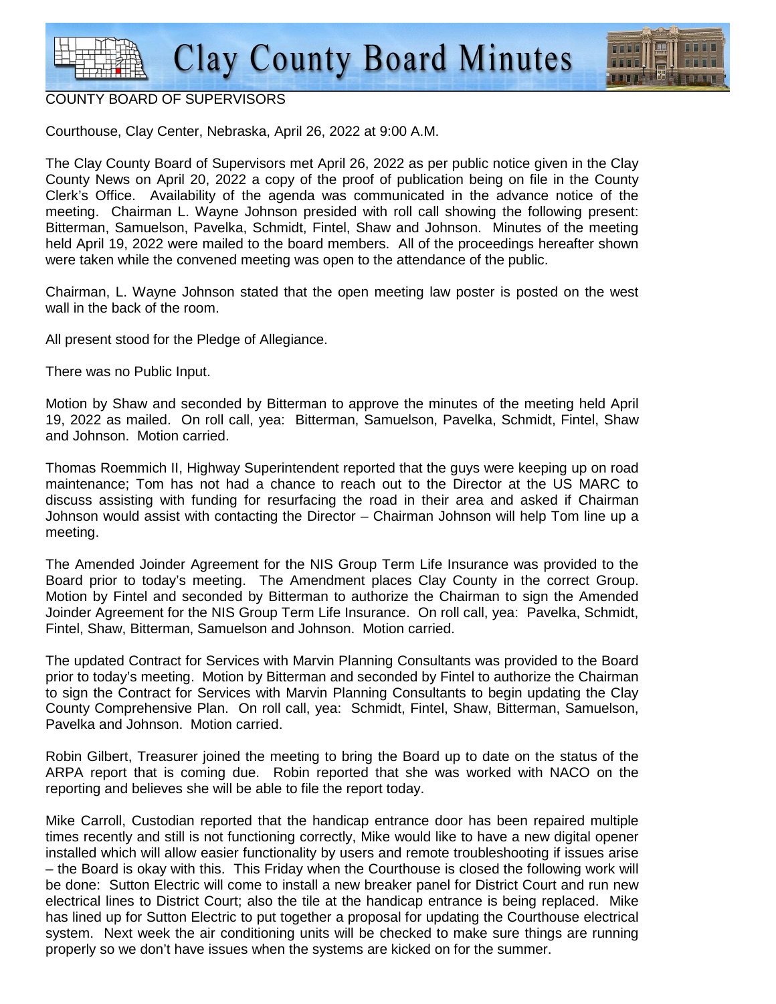

#### COUNTY BOARD OF SUPERVISORS

Courthouse, Clay Center, Nebraska, April 26, 2022 at 9:00 A.M.

The Clay County Board of Supervisors met April 26, 2022 as per public notice given in the Clay County News on April 20, 2022 a copy of the proof of publication being on file in the County Clerk's Office. Availability of the agenda was communicated in the advance notice of the meeting. Chairman L. Wayne Johnson presided with roll call showing the following present: Bitterman, Samuelson, Pavelka, Schmidt, Fintel, Shaw and Johnson. Minutes of the meeting held April 19, 2022 were mailed to the board members. All of the proceedings hereafter shown were taken while the convened meeting was open to the attendance of the public.

Chairman, L. Wayne Johnson stated that the open meeting law poster is posted on the west wall in the back of the room.

All present stood for the Pledge of Allegiance.

There was no Public Input.

Motion by Shaw and seconded by Bitterman to approve the minutes of the meeting held April 19, 2022 as mailed. On roll call, yea: Bitterman, Samuelson, Pavelka, Schmidt, Fintel, Shaw and Johnson. Motion carried.

Thomas Roemmich II, Highway Superintendent reported that the guys were keeping up on road maintenance; Tom has not had a chance to reach out to the Director at the US MARC to discuss assisting with funding for resurfacing the road in their area and asked if Chairman Johnson would assist with contacting the Director – Chairman Johnson will help Tom line up a meeting.

The Amended Joinder Agreement for the NIS Group Term Life Insurance was provided to the Board prior to today's meeting. The Amendment places Clay County in the correct Group. Motion by Fintel and seconded by Bitterman to authorize the Chairman to sign the Amended Joinder Agreement for the NIS Group Term Life Insurance. On roll call, yea: Pavelka, Schmidt, Fintel, Shaw, Bitterman, Samuelson and Johnson. Motion carried.

The updated Contract for Services with Marvin Planning Consultants was provided to the Board prior to today's meeting. Motion by Bitterman and seconded by Fintel to authorize the Chairman to sign the Contract for Services with Marvin Planning Consultants to begin updating the Clay County Comprehensive Plan. On roll call, yea: Schmidt, Fintel, Shaw, Bitterman, Samuelson, Pavelka and Johnson. Motion carried.

Robin Gilbert, Treasurer joined the meeting to bring the Board up to date on the status of the ARPA report that is coming due. Robin reported that she was worked with NACO on the reporting and believes she will be able to file the report today.

Mike Carroll, Custodian reported that the handicap entrance door has been repaired multiple times recently and still is not functioning correctly, Mike would like to have a new digital opener installed which will allow easier functionality by users and remote troubleshooting if issues arise – the Board is okay with this. This Friday when the Courthouse is closed the following work will be done: Sutton Electric will come to install a new breaker panel for District Court and run new electrical lines to District Court; also the tile at the handicap entrance is being replaced. Mike has lined up for Sutton Electric to put together a proposal for updating the Courthouse electrical system. Next week the air conditioning units will be checked to make sure things are running properly so we don't have issues when the systems are kicked on for the summer.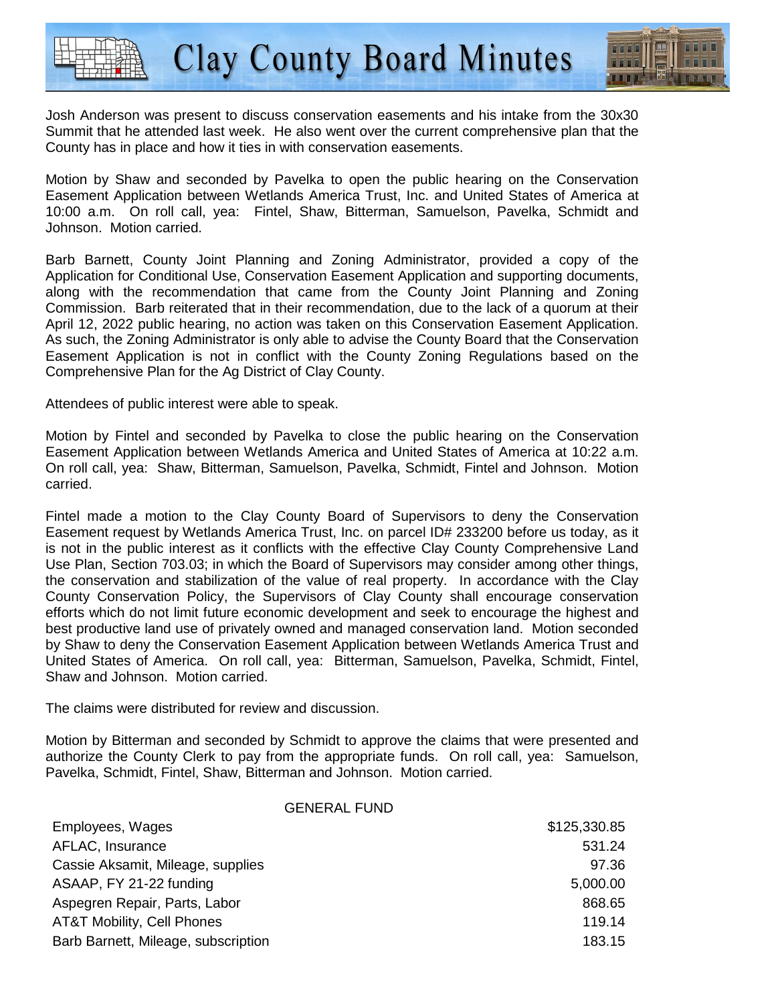

Josh Anderson was present to discuss conservation easements and his intake from the 30x30 Summit that he attended last week. He also went over the current comprehensive plan that the County has in place and how it ties in with conservation easements.

Motion by Shaw and seconded by Pavelka to open the public hearing on the Conservation Easement Application between Wetlands America Trust, Inc. and United States of America at 10:00 a.m. On roll call, yea: Fintel, Shaw, Bitterman, Samuelson, Pavelka, Schmidt and Johnson. Motion carried.

Barb Barnett, County Joint Planning and Zoning Administrator, provided a copy of the Application for Conditional Use, Conservation Easement Application and supporting documents, along with the recommendation that came from the County Joint Planning and Zoning Commission. Barb reiterated that in their recommendation, due to the lack of a quorum at their April 12, 2022 public hearing, no action was taken on this Conservation Easement Application. As such, the Zoning Administrator is only able to advise the County Board that the Conservation Easement Application is not in conflict with the County Zoning Regulations based on the Comprehensive Plan for the Ag District of Clay County.

Attendees of public interest were able to speak.

Motion by Fintel and seconded by Pavelka to close the public hearing on the Conservation Easement Application between Wetlands America and United States of America at 10:22 a.m. On roll call, yea: Shaw, Bitterman, Samuelson, Pavelka, Schmidt, Fintel and Johnson. Motion carried.

Fintel made a motion to the Clay County Board of Supervisors to deny the Conservation Easement request by Wetlands America Trust, Inc. on parcel ID# 233200 before us today, as it is not in the public interest as it conflicts with the effective Clay County Comprehensive Land Use Plan, Section 703.03; in which the Board of Supervisors may consider among other things, the conservation and stabilization of the value of real property. In accordance with the Clay County Conservation Policy, the Supervisors of Clay County shall encourage conservation efforts which do not limit future economic development and seek to encourage the highest and best productive land use of privately owned and managed conservation land. Motion seconded by Shaw to deny the Conservation Easement Application between Wetlands America Trust and United States of America. On roll call, yea: Bitterman, Samuelson, Pavelka, Schmidt, Fintel, Shaw and Johnson. Motion carried.

The claims were distributed for review and discussion.

Motion by Bitterman and seconded by Schmidt to approve the claims that were presented and authorize the County Clerk to pay from the appropriate funds. On roll call, yea: Samuelson, Pavelka, Schmidt, Fintel, Shaw, Bitterman and Johnson. Motion carried.

#### GENERAL FUND

| Employees, Wages                    | \$125,330.85 |
|-------------------------------------|--------------|
| AFLAC, Insurance                    | 531.24       |
| Cassie Aksamit, Mileage, supplies   | 97.36        |
| ASAAP, FY 21-22 funding             | 5,000.00     |
| Aspegren Repair, Parts, Labor       | 868.65       |
| AT&T Mobility, Cell Phones          | 119.14       |
| Barb Barnett, Mileage, subscription | 183.15       |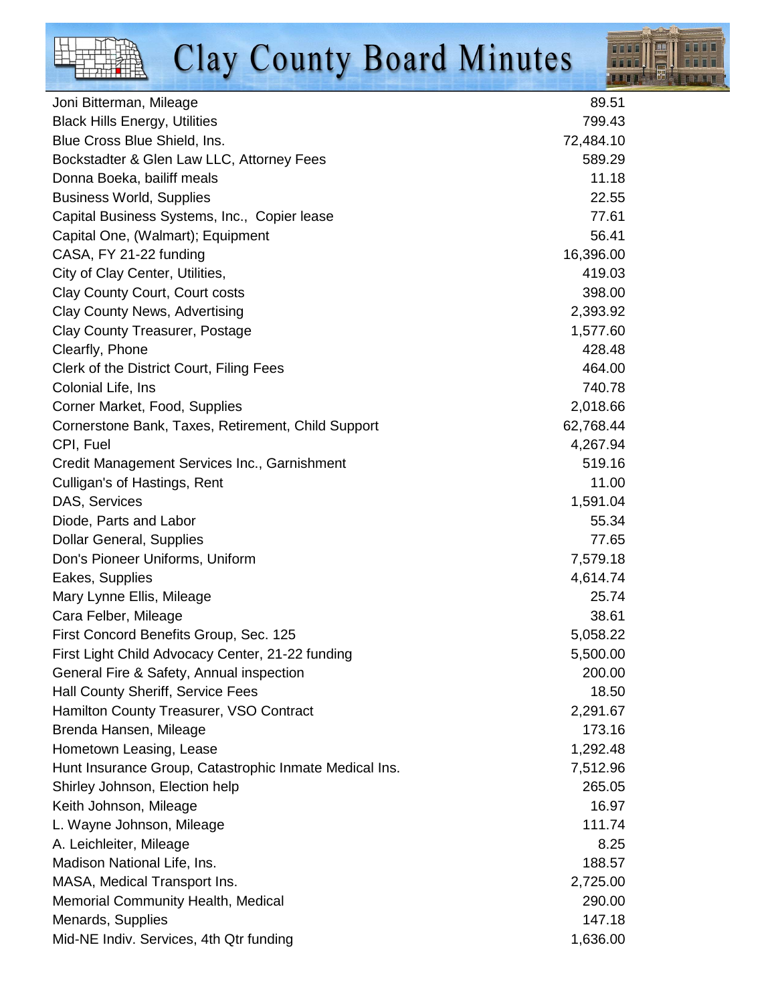

| Joni Bitterman, Mileage                                | 89.51     |
|--------------------------------------------------------|-----------|
| <b>Black Hills Energy, Utilities</b>                   | 799.43    |
| Blue Cross Blue Shield, Ins.                           | 72,484.10 |
| Bockstadter & Glen Law LLC, Attorney Fees              | 589.29    |
| Donna Boeka, bailiff meals                             | 11.18     |
| <b>Business World, Supplies</b>                        | 22.55     |
| Capital Business Systems, Inc., Copier lease           | 77.61     |
| Capital One, (Walmart); Equipment                      | 56.41     |
| CASA, FY 21-22 funding                                 | 16,396.00 |
| City of Clay Center, Utilities,                        | 419.03    |
| Clay County Court, Court costs                         | 398.00    |
| Clay County News, Advertising                          | 2,393.92  |
| Clay County Treasurer, Postage                         | 1,577.60  |
| Clearfly, Phone                                        | 428.48    |
| Clerk of the District Court, Filing Fees               | 464.00    |
| Colonial Life, Ins                                     | 740.78    |
| Corner Market, Food, Supplies                          | 2,018.66  |
| Cornerstone Bank, Taxes, Retirement, Child Support     | 62,768.44 |
| CPI, Fuel                                              | 4,267.94  |
| Credit Management Services Inc., Garnishment           | 519.16    |
| Culligan's of Hastings, Rent                           | 11.00     |
| DAS, Services                                          | 1,591.04  |
| Diode, Parts and Labor                                 | 55.34     |
| <b>Dollar General, Supplies</b>                        | 77.65     |
| Don's Pioneer Uniforms, Uniform                        | 7,579.18  |
| Eakes, Supplies                                        | 4,614.74  |
| Mary Lynne Ellis, Mileage                              | 25.74     |
| Cara Felber, Mileage                                   | 38.61     |
| First Concord Benefits Group, Sec. 125                 | 5,058.22  |
| First Light Child Advocacy Center, 21-22 funding       | 5,500.00  |
| General Fire & Safety, Annual inspection               | 200.00    |
| Hall County Sheriff, Service Fees                      | 18.50     |
| Hamilton County Treasurer, VSO Contract                | 2,291.67  |
| Brenda Hansen, Mileage                                 | 173.16    |
| Hometown Leasing, Lease                                | 1,292.48  |
| Hunt Insurance Group, Catastrophic Inmate Medical Ins. | 7,512.96  |
| Shirley Johnson, Election help                         | 265.05    |
| Keith Johnson, Mileage                                 | 16.97     |
| L. Wayne Johnson, Mileage                              | 111.74    |
| A. Leichleiter, Mileage                                | 8.25      |
| Madison National Life, Ins.                            | 188.57    |
| MASA, Medical Transport Ins.                           | 2,725.00  |
| Memorial Community Health, Medical                     | 290.00    |
| Menards, Supplies                                      | 147.18    |
| Mid-NE Indiv. Services, 4th Qtr funding                | 1,636.00  |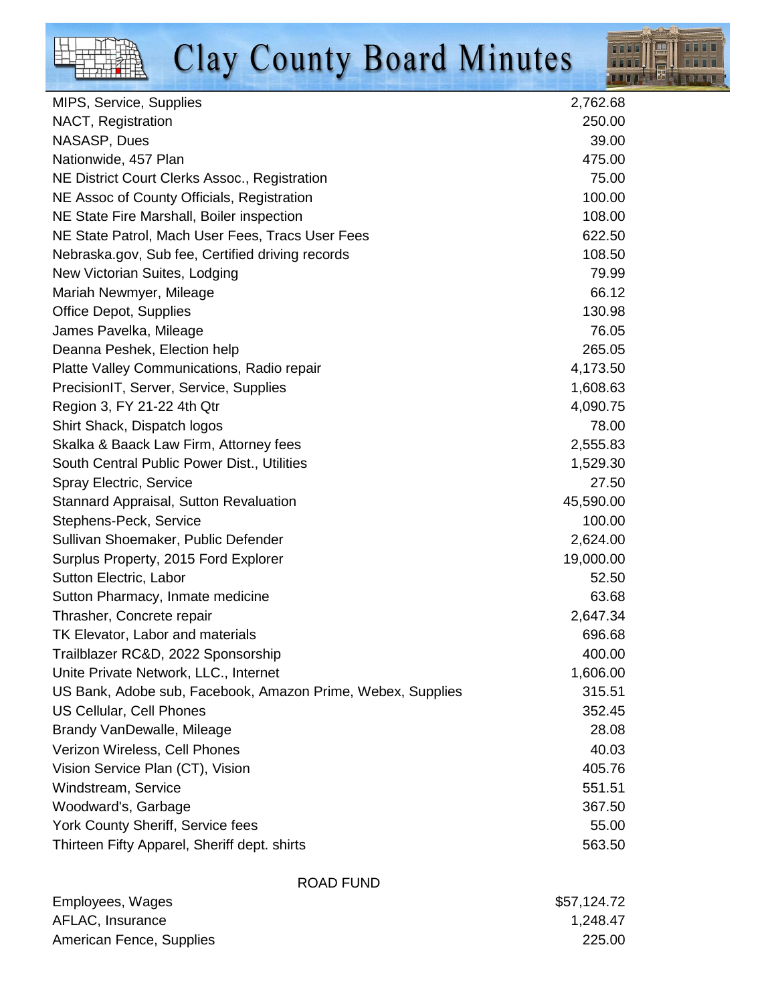

| MIPS, Service, Supplies                                     | 2,762.68  |
|-------------------------------------------------------------|-----------|
| NACT, Registration                                          | 250.00    |
| NASASP, Dues                                                | 39.00     |
| Nationwide, 457 Plan                                        | 475.00    |
| NE District Court Clerks Assoc., Registration               | 75.00     |
| NE Assoc of County Officials, Registration                  | 100.00    |
| NE State Fire Marshall, Boiler inspection                   | 108.00    |
| NE State Patrol, Mach User Fees, Tracs User Fees            | 622.50    |
| Nebraska.gov, Sub fee, Certified driving records            | 108.50    |
| New Victorian Suites, Lodging                               | 79.99     |
| Mariah Newmyer, Mileage                                     | 66.12     |
| <b>Office Depot, Supplies</b>                               | 130.98    |
| James Pavelka, Mileage                                      | 76.05     |
| Deanna Peshek, Election help                                | 265.05    |
| Platte Valley Communications, Radio repair                  | 4,173.50  |
| PrecisionIT, Server, Service, Supplies                      | 1,608.63  |
| Region 3, FY 21-22 4th Qtr                                  | 4,090.75  |
| Shirt Shack, Dispatch logos                                 | 78.00     |
| Skalka & Baack Law Firm, Attorney fees                      | 2,555.83  |
| South Central Public Power Dist., Utilities                 | 1,529.30  |
| Spray Electric, Service                                     | 27.50     |
| <b>Stannard Appraisal, Sutton Revaluation</b>               | 45,590.00 |
| Stephens-Peck, Service                                      | 100.00    |
| Sullivan Shoemaker, Public Defender                         | 2,624.00  |
| Surplus Property, 2015 Ford Explorer                        | 19,000.00 |
| Sutton Electric, Labor                                      | 52.50     |
| Sutton Pharmacy, Inmate medicine                            | 63.68     |
| Thrasher, Concrete repair                                   | 2,647.34  |
| TK Elevator, Labor and materials                            | 696.68    |
| Trailblazer RC&D, 2022 Sponsorship                          | 400.00    |
| Unite Private Network, LLC., Internet                       | 1,606.00  |
| US Bank, Adobe sub, Facebook, Amazon Prime, Webex, Supplies | 315.51    |
| <b>US Cellular, Cell Phones</b>                             | 352.45    |
| Brandy VanDewalle, Mileage                                  | 28.08     |
| Verizon Wireless, Cell Phones                               | 40.03     |
| Vision Service Plan (CT), Vision                            | 405.76    |
| Windstream, Service                                         | 551.51    |
| Woodward's, Garbage                                         | 367.50    |
| York County Sheriff, Service fees                           | 55.00     |
| Thirteen Fifty Apparel, Sheriff dept. shirts                | 563.50    |
|                                                             |           |

|                          | ROAD FUND |             |
|--------------------------|-----------|-------------|
| Employees, Wages         |           | \$57,124.72 |
| AFLAC, Insurance         |           | 1,248.47    |
| American Fence, Supplies |           | 225.00      |
|                          |           |             |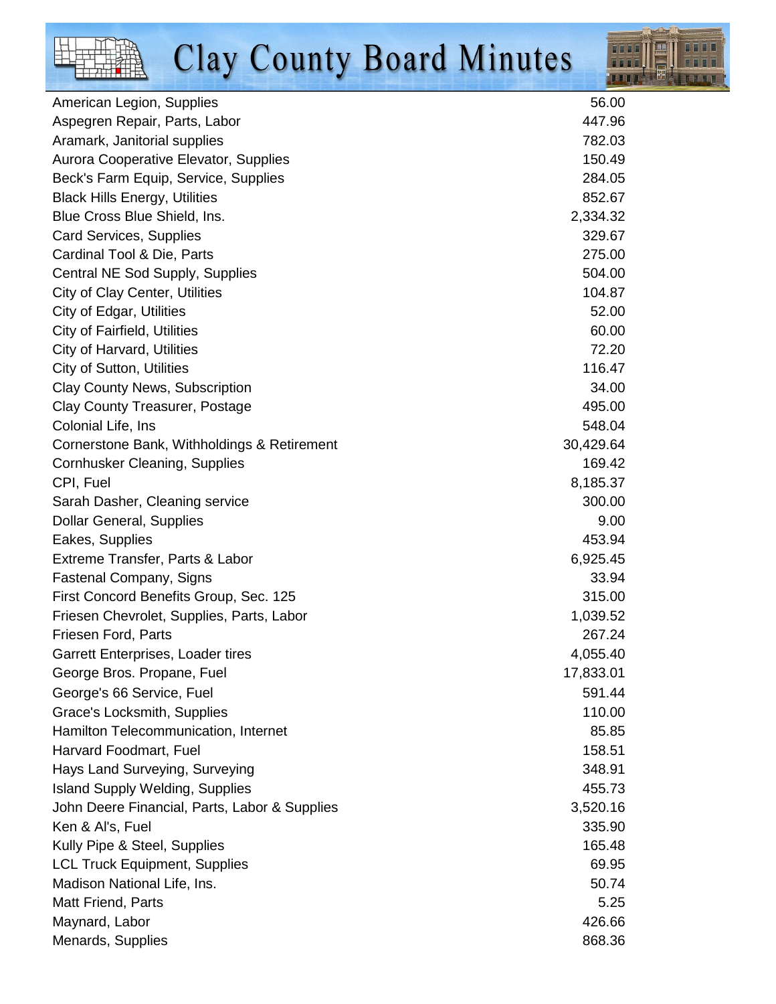

| American Legion, Supplies                     | 56.00     |
|-----------------------------------------------|-----------|
| Aspegren Repair, Parts, Labor                 | 447.96    |
| Aramark, Janitorial supplies                  | 782.03    |
| Aurora Cooperative Elevator, Supplies         | 150.49    |
| Beck's Farm Equip, Service, Supplies          | 284.05    |
| <b>Black Hills Energy, Utilities</b>          | 852.67    |
| Blue Cross Blue Shield, Ins.                  | 2,334.32  |
| Card Services, Supplies                       | 329.67    |
| Cardinal Tool & Die, Parts                    | 275.00    |
| Central NE Sod Supply, Supplies               | 504.00    |
| City of Clay Center, Utilities                | 104.87    |
| <b>City of Edgar, Utilities</b>               | 52.00     |
| City of Fairfield, Utilities                  | 60.00     |
| City of Harvard, Utilities                    | 72.20     |
| <b>City of Sutton, Utilities</b>              | 116.47    |
| <b>Clay County News, Subscription</b>         | 34.00     |
| <b>Clay County Treasurer, Postage</b>         | 495.00    |
| Colonial Life, Ins                            | 548.04    |
| Cornerstone Bank, Withholdings & Retirement   | 30,429.64 |
| Cornhusker Cleaning, Supplies                 | 169.42    |
| CPI, Fuel                                     | 8,185.37  |
| Sarah Dasher, Cleaning service                | 300.00    |
| <b>Dollar General, Supplies</b>               | 9.00      |
| Eakes, Supplies                               | 453.94    |
| Extreme Transfer, Parts & Labor               | 6,925.45  |
| <b>Fastenal Company, Signs</b>                | 33.94     |
| First Concord Benefits Group, Sec. 125        | 315.00    |
| Friesen Chevrolet, Supplies, Parts, Labor     | 1,039.52  |
| Friesen Ford, Parts                           | 267.24    |
| Garrett Enterprises, Loader tires             | 4,055.40  |
| George Bros. Propane, Fuel                    | 17,833.01 |
| George's 66 Service, Fuel                     | 591.44    |
| Grace's Locksmith, Supplies                   | 110.00    |
| Hamilton Telecommunication, Internet          | 85.85     |
| Harvard Foodmart, Fuel                        | 158.51    |
| Hays Land Surveying, Surveying                | 348.91    |
| <b>Island Supply Welding, Supplies</b>        | 455.73    |
| John Deere Financial, Parts, Labor & Supplies | 3,520.16  |
| Ken & Al's, Fuel                              | 335.90    |
| Kully Pipe & Steel, Supplies                  | 165.48    |
| <b>LCL Truck Equipment, Supplies</b>          | 69.95     |
| Madison National Life, Ins.                   | 50.74     |
| <b>Matt Friend, Parts</b>                     | 5.25      |
| Maynard, Labor                                | 426.66    |
| Menards, Supplies                             | 868.36    |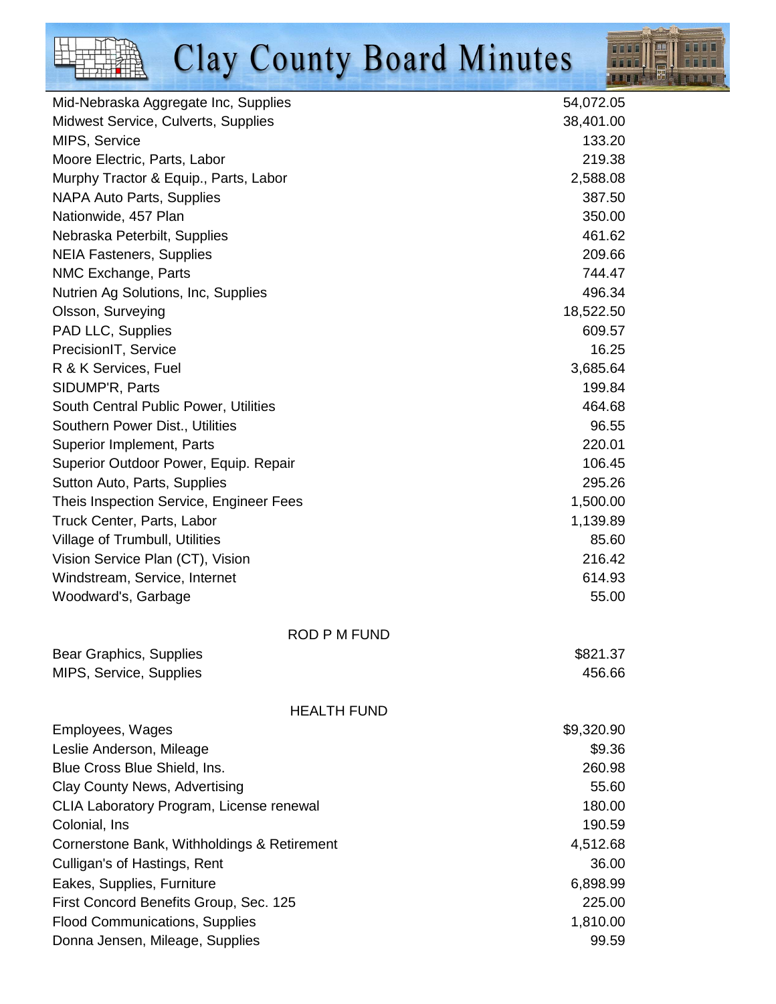

| Mid-Nebraska Aggregate Inc, Supplies        | 54,072.05  |
|---------------------------------------------|------------|
| Midwest Service, Culverts, Supplies         | 38,401.00  |
| MIPS, Service                               | 133.20     |
| Moore Electric, Parts, Labor                | 219.38     |
| Murphy Tractor & Equip., Parts, Labor       | 2,588.08   |
| <b>NAPA Auto Parts, Supplies</b>            | 387.50     |
| Nationwide, 457 Plan                        | 350.00     |
| Nebraska Peterbilt, Supplies                | 461.62     |
| <b>NEIA Fasteners, Supplies</b>             | 209.66     |
| NMC Exchange, Parts                         | 744.47     |
| Nutrien Ag Solutions, Inc, Supplies         | 496.34     |
| Olsson, Surveying                           | 18,522.50  |
| PAD LLC, Supplies                           | 609.57     |
| PrecisionIT, Service                        | 16.25      |
| R & K Services, Fuel                        | 3,685.64   |
| SIDUMP'R, Parts                             | 199.84     |
| South Central Public Power, Utilities       | 464.68     |
| Southern Power Dist., Utilities             | 96.55      |
| Superior Implement, Parts                   | 220.01     |
| Superior Outdoor Power, Equip. Repair       | 106.45     |
| Sutton Auto, Parts, Supplies                | 295.26     |
| Theis Inspection Service, Engineer Fees     | 1,500.00   |
| Truck Center, Parts, Labor                  | 1,139.89   |
| Village of Trumbull, Utilities              | 85.60      |
| Vision Service Plan (CT), Vision            | 216.42     |
| Windstream, Service, Internet               | 614.93     |
| Woodward's, Garbage                         | 55.00      |
| <b>ROD P M FUND</b>                         |            |
| Bear Graphics, Supplies                     | \$821.37   |
| MIPS, Service, Supplies                     | 456.66     |
| <b>HEALTH FUND</b>                          |            |
| Employees, Wages                            | \$9,320.90 |
| Leslie Anderson, Mileage                    | \$9.36     |
| Blue Cross Blue Shield, Ins.                | 260.98     |
| Clay County News, Advertising               | 55.60      |
| CLIA Laboratory Program, License renewal    | 180.00     |
| Colonial, Ins                               | 190.59     |
| Cornerstone Bank, Withholdings & Retirement | 4,512.68   |
| Culligan's of Hastings, Rent                | 36.00      |
| Eakes, Supplies, Furniture                  | 6,898.99   |
| First Concord Benefits Group, Sec. 125      | 225.00     |
| <b>Flood Communications, Supplies</b>       | 1,810.00   |
| Donna Jensen, Mileage, Supplies             | 99.59      |